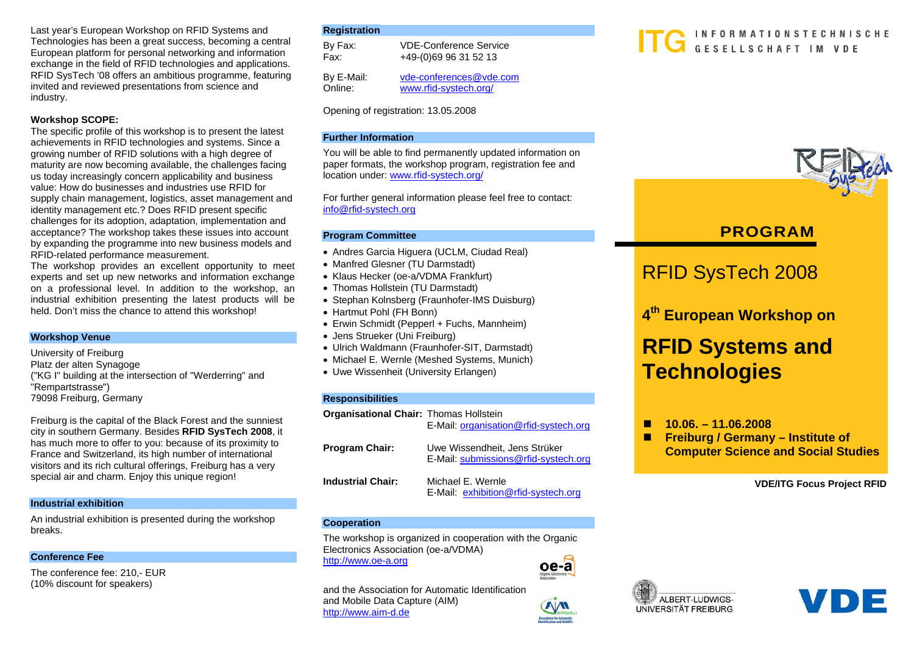Last year's European Workshop on RFID Systems and Technologies has been a great success, becoming a central European platform for personal networking and information exchange in the field of RFID technologies and applications. RFID SysTech '08 offers an ambitious programme, featuring invited and reviewed presentations from science and industry.

### **Workshop SCOPE:**

The specific profile of this workshop is to present the latest achievements in RFID technologies and systems. Since a growing number of RFID solutions with a high degree of maturity are now becoming available, the challenges facing us today increasingly concern applicability and business value: How do businesses and industries use RFID for supply chain management, logistics, asset management and identity management etc.? Does RFID present specific challenges for its adoption, adaptation, implementation and acceptance? The workshop takes these issues into account by expanding the programme into new business models and RFID-related performance measurement.

The workshop provides an excellent opportunity to meet experts and set up new networks and information exchange on a professional level. In addition to the workshop, an industrial exhibition presenting the latest products will be held. Don't miss the chance to attend this workshop!

### **Workshop Venue**

University of Freiburg Platz der alten Synagoge ("KG I" building at the intersection of "Werderring" and "Rempartstrasse") 79098 Freiburg, Germany

Freiburg is the capital of the Black Forest and the sunniest city in southern Germany. Besides **RFID SysTech 2008**, it has much more to offer to you: because of its proximity to France and Switzerland, its high number of international visitors and its rich cultural offerings, Freiburg has a very special air and charm. Enjoy this unique region!

### **Industrial exhibition**

An industrial exhibition is presented during the workshop breaks.

### **Conference Fee**

The conference fee: 210,- EUR (10% discount for speakers)

### **Registration**

By Fax: VDE-Conference Service Fax: +49-(0)69 96 31 52 13 By E-Mail: vde-conferences@vde.com Online: www.rfid-systech.org/

Opening of registration: 13.05.2008

### **Further Information**

You will be able to find permanently updated information on paper formats, the workshop program, registration fee and location under: www.rfid-systech.org/

For further general information please feel free to contact: info@rfid-systech.org

### **Program Committee**

- Andres Garcia Higuera (UCLM, Ciudad Real)
- Manfred Glesner (TU Darmstadt)
- Klaus Hecker (oe-a/VDMA Frankfurt)
- Thomas Hollstein (TU Darmstadt)
- Stephan Kolnsberg (Fraunhofer-IMS Duisburg)
- Hartmut Pohl (FH Bonn)
- Erwin Schmidt (Pepperl + Fuchs, Mannheim)
- Jens Strueker (Uni Freiburg)
- Ulrich Waldmann (Fraunhofer-SIT, Darmstadt)
- Michael E. Wernle (Meshed Systems, Munich)
- Uwe Wissenheit (University Erlangen)

### **Responsibilities**

| <b>Organisational Chair: Thomas Hollstein</b> | E-Mail: organisation@rfid-systech.org                                 |
|-----------------------------------------------|-----------------------------------------------------------------------|
| <b>Program Chair:</b>                         | Uwe Wissendheit, Jens Strüker<br>E-Mail: submissions@rfid-systech.org |
| <b>Industrial Chair:</b>                      | Michael E. Wernle<br>E-Mail: exhibition@rfid-systech.org              |

#### **Cooperation**

The workshop is organized in cooperation with the Organic Electronics Association (oe-a/VDMA) http://www.oe-a.org



#### and the Association for Automatic Identification and Mobile Data Capture (AIM) http://www.aim-d.de

### INFORMATIONSTECHNISCHE GESELLSCHAFT IM VDE



## **PROGRAM**

## RFID SysTech 2008

**<sup>4</sup>th European Workshop on**

## **RFID Systems and Technologies**

П **10.06. – 11.06.2008** 

П **Freiburg / Germany – Institute of Computer Science and Social Studies**

**VDE/ITG Focus Project RFID** 



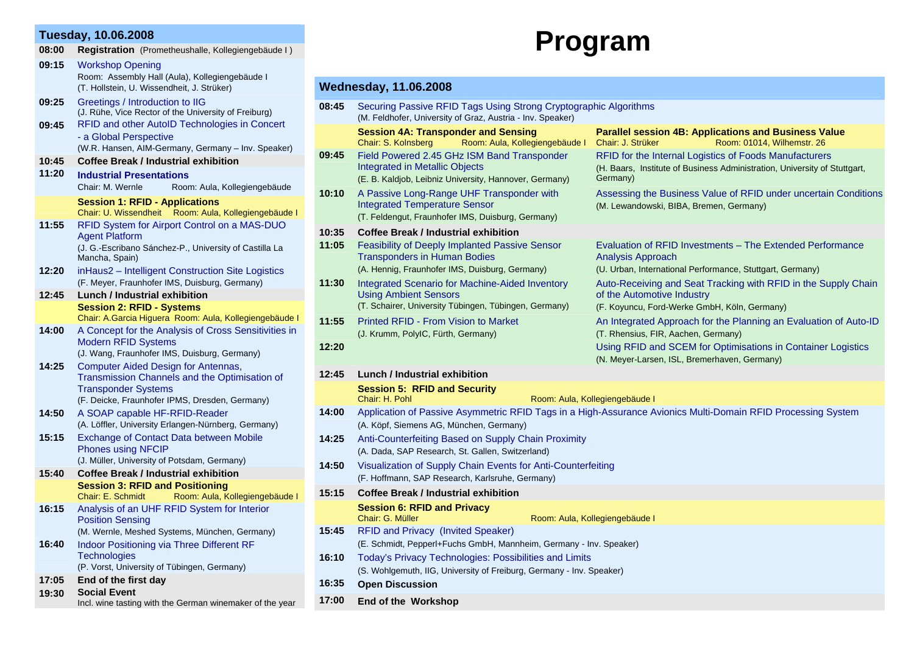### **Tuesday, 10.06.2008**

| 08:00 | Registration (Prometheushalle, Kollegiengebäude I) |  |  |
|-------|----------------------------------------------------|--|--|
| 09:15 | <b>Workshop Opening</b>                            |  |  |
|       | Room: Assembly Hall (Aula), Kollegiengebäude I     |  |  |

(T. Hollstein, U. Wissendheit, J. Strüker)

# **Program**

### **Wednesday, 11.06.2008**

| 09:25          | Greetings / Introduction to IIG<br>(J. Rühe, Vice Rector of the University of Freiburg)                                                           | 08:45          | Securing Passive RFID Tags Using Strong Cryptographic Algorithms<br>(M. Feldhofer, University of Graz, Austria - Inv. Speaker)                          |                                                                                                                                                 |  |
|----------------|---------------------------------------------------------------------------------------------------------------------------------------------------|----------------|---------------------------------------------------------------------------------------------------------------------------------------------------------|-------------------------------------------------------------------------------------------------------------------------------------------------|--|
| 09:45          | RFID and other AutoID Technologies in Concert<br>- a Global Perspective<br>(W.R. Hansen, AIM-Germany, Germany - Inv. Speaker)                     |                | <b>Session 4A: Transponder and Sensing</b><br>Chair: S. Kolnsberg<br>Room: Aula, Kollegiengebäude I                                                     | <b>Parallel session 4B: Applications and Business Value</b><br>Chair: J. Strüker<br>Room: 01014, Wilhemstr. 26                                  |  |
| 10:45<br>11:20 | <b>Coffee Break / Industrial exhibition</b><br><b>Industrial Presentations</b>                                                                    | 09:45          | Field Powered 2.45 GHz ISM Band Transponder<br><b>Integrated in Metallic Objects</b><br>(E. B. Kaldjob, Leibniz University, Hannover, Germany)          | RFID for the Internal Logistics of Foods Manufacturers<br>(H. Baars, Institute of Business Administration, University of Stuttgart,<br>Germany) |  |
|                | Chair: M. Wernle<br>Room: Aula, Kollegiengebäude<br><b>Session 1: RFID - Applications</b><br>Chair: U. Wissendheit Room: Aula, Kollegiengebäude I | 10:10          | A Passive Long-Range UHF Transponder with<br><b>Integrated Temperature Sensor</b><br>(T. Feldengut, Fraunhofer IMS, Duisburg, Germany)                  | Assessing the Business Value of RFID under uncertain Conditions<br>(M. Lewandowski, BIBA, Bremen, Germany)                                      |  |
| 11:55          | RFID System for Airport Control on a MAS-DUO<br><b>Agent Platform</b>                                                                             | 10:35<br>11:05 | <b>Coffee Break / Industrial exhibition</b><br>Feasibility of Deeply Implanted Passive Sensor                                                           | Evaluation of RFID Investments - The Extended Performance                                                                                       |  |
| 12:20          | (J. G.-Escribano Sánchez-P., University of Castilla La<br>Mancha, Spain)<br>inHaus2 - Intelligent Construction Site Logistics                     |                | <b>Transponders in Human Bodies</b><br>(A. Hennig, Fraunhofer IMS, Duisburg, Germany)                                                                   | Analysis Approach<br>(U. Urban, International Performance, Stuttgart, Germany)                                                                  |  |
| 12:45          | (F. Meyer, Fraunhofer IMS, Duisburg, Germany)<br><b>Lunch / Industrial exhibition</b>                                                             | 11:30          | Integrated Scenario for Machine-Aided Inventory<br><b>Using Ambient Sensors</b>                                                                         | Auto-Receiving and Seat Tracking with RFID in the Supply Chain<br>of the Automotive Industry                                                    |  |
|                | <b>Session 2: RFID - Systems</b><br>Chair: A.Garcia Higuera Room: Aula, Kollegiengebäude I                                                        | 11:55          | (T. Schairer, University Tübingen, Tübingen, Germany)<br>Printed RFID - From Vision to Market                                                           | (F. Koyuncu, Ford-Werke GmbH, Köln, Germany)<br>An Integrated Approach for the Planning an Evaluation of Auto-ID                                |  |
| 14:00          | A Concept for the Analysis of Cross Sensitivities in<br><b>Modern RFID Systems</b><br>(J. Wang, Fraunhofer IMS, Duisburg, Germany)                | 12:20          | (J. Krumm, PolyIC, Fürth, Germany)                                                                                                                      | (T. Rhensius, FIR, Aachen, Germany)<br>Using RFID and SCEM for Optimisations in Container Logistics                                             |  |
| 14:25          | <b>Computer Aided Design for Antennas,</b><br>Transmission Channels and the Optimisation of                                                       | 12:45          | Lunch / Industrial exhibition                                                                                                                           | (N. Meyer-Larsen, ISL, Bremerhaven, Germany)                                                                                                    |  |
|                | <b>Transponder Systems</b><br>(F. Deicke, Fraunhofer IPMS, Dresden, Germany)                                                                      |                | <b>Session 5: RFID and Security</b><br>Chair: H. Pohl                                                                                                   | Room: Aula, Kollegiengebäude I                                                                                                                  |  |
| 14:50          | A SOAP capable HF-RFID-Reader<br>(A. Löffler, University Erlangen-Nürnberg, Germany)                                                              | 14:00          | Application of Passive Asymmetric RFID Tags in a High-Assurance Avionics Multi-Domain RFID Processing System<br>(A. Köpf, Siemens AG, München, Germany) |                                                                                                                                                 |  |
| 15:15          | <b>Exchange of Contact Data between Mobile</b><br><b>Phones using NFCIP</b><br>(J. Müller, University of Potsdam, Germany)                        | 14:25          | Anti-Counterfeiting Based on Supply Chain Proximity<br>(A. Dada, SAP Research, St. Gallen, Switzerland)                                                 |                                                                                                                                                 |  |
| 15:40          | <b>Coffee Break / Industrial exhibition</b><br><b>Session 3: RFID and Positioning</b>                                                             | 14:50          | Visualization of Supply Chain Events for Anti-Counterfeiting<br>(F. Hoffmann, SAP Research, Karlsruhe, Germany)                                         |                                                                                                                                                 |  |
|                | Room: Aula, Kollegiengebäude I<br>Chair: E. Schmidt                                                                                               | 15:15          | Coffee Break / Industrial exhibition<br><b>Session 6: RFID and Privacy</b>                                                                              |                                                                                                                                                 |  |
| 16:15          | Analysis of an UHF RFID System for Interior<br><b>Position Sensing</b>                                                                            |                | Chair: G. Müller                                                                                                                                        | Room: Aula, Kollegiengebäude I                                                                                                                  |  |
| 16:40          | (M. Wernle, Meshed Systems, München, Germany)<br>Indoor Positioning via Three Different RF                                                        | 15:45          | <b>RFID and Privacy (Invited Speaker)</b><br>(E. Schmidt, Pepperl+Fuchs GmbH, Mannheim, Germany - Inv. Speaker)                                         |                                                                                                                                                 |  |
|                | <b>Technologies</b><br>(P. Vorst, University of Tübingen, Germany)                                                                                | 16:10          | Today's Privacy Technologies: Possibilities and Limits<br>(S. Wohlgemuth, IIG, University of Freiburg, Germany - Inv. Speaker)                          |                                                                                                                                                 |  |
| 17:05          | End of the first day                                                                                                                              | 16:35          | <b>Open Discussion</b>                                                                                                                                  |                                                                                                                                                 |  |
| 19:30          | <b>Social Event</b><br>Incl. wine tasting with the German winemaker of the year                                                                   | 17:00          | <b>End of the Workshop</b>                                                                                                                              |                                                                                                                                                 |  |